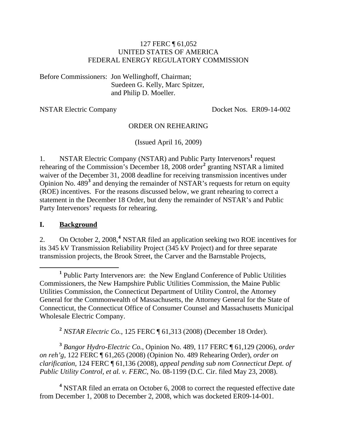#### 127 FERC ¶ 61,052 UNITED STATES OF AMERICA FEDERAL ENERGY REGULATORY COMMISSION

Before Commissioners: Jon Wellinghoff, Chairman; Suedeen G. Kelly, Marc Spitzer, and Philip D. Moeller.

NSTAR Electric Company Docket Nos. ER09-14-002

#### ORDER ON REHEARING

(Issued April 16, 2009)

[1](#page-0-0). NSTAR Electric Company (NSTAR) and Public Party Intervenors<sup>1</sup> request rehearing of the Commission's December 18, [2](#page-0-1)008 order<sup>2</sup> granting NSTAR a limited waiver of the December 31, 2008 deadline for receiving transmission incentives under Opinion No. 489<sup>[3](#page-0-2)</sup> and denying the remainder of NSTAR's requests for return on equity (ROE) incentives. For the reasons discussed below, we grant rehearing to correct a statement in the December 18 Order, but deny the remainder of NSTAR's and Public Party Intervenors' requests for rehearing.

#### **I. Background**

2. On October 2, 2008,**[4](#page-0-3)** NSTAR filed an application seeking two ROE incentives for its 345 kV Transmission Reliability Project (345 kV Project) and for three separate transmission projects, the Brook Street, the Carver and the Barnstable Projects,

**<sup>2</sup>** *NSTAR Electric Co.*, 125 FERC ¶ 61,313 (2008) (December 18 Order).

<span id="page-0-2"></span><span id="page-0-1"></span>**<sup>3</sup>** *Bangor Hydro-Electric Co.*, Opinion No. 489, 117 FERC ¶ 61,129 (2006), *order on reh'g*, 122 FERC ¶ 61,265 (2008) (Opinion No. 489 Rehearing Order), *order on clarification,* 124 FERC ¶ 61,136 (2008), *appeal pending sub nom Connecticut Dept. of Public Utility Control, et al. v. FERC*, No. 08-1199 (D.C. Cir. filed May 23, 2008).

<span id="page-0-3"></span><sup>4</sup> NSTAR filed an errata on October 6, 2008 to correct the requested effective date from December 1, 2008 to December 2, 2008, which was docketed ER09-14-001.

<span id="page-0-0"></span> $\frac{1}{1}$  Public Party Intervenors are: the New England Conference of Public Utilities Commissioners, the New Hampshire Public Utilities Commission, the Maine Public Utilities Commission, the Connecticut Department of Utility Control, the Attorney General for the Commonwealth of Massachusetts, the Attorney General for the State of Connecticut, the Connecticut Office of Consumer Counsel and Massachusetts Municipal Wholesale Electric Company.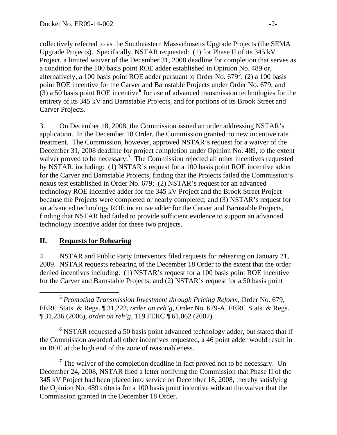collectively referred to as the Southeastern Massachusetts Upgrade Projects (the SEMA Upgrade Projects). Specifically, NSTAR requested: (1) for Phase II of its 345 kV Project, a limited waiver of the December 31, 2008 deadline for completion that serves as a condition for the 100 basis point ROE adder established in Opinion No. 489 or, alternatively, a 100 basis point ROE adder pursuant to Order No. 679**<sup>5</sup>** ; (2) a 100 basis point ROE incentive for the Carver and Barnstable Projects under Order No. 679; and (3) a 50 basis point ROE incentive**<sup>6</sup>** for use of advanced transmission technologies for the entirety of its 345 kV and Barnstable Projects, and for portions of its Brook Street and Carver Projects.

3. On December 18, 2008, the Commission issued an order addressing NSTAR's application. In the December 18 Order, the Commission granted no new incentive rate treatment. The Commission, however, approved NSTAR's request for a waiver of the December 31, 2008 deadline for project completion under Opinion No. 489, to the extent waiver proved to be necessary.<sup>[7](#page-1-0)</sup> The Commission rejected all other incentives requested by NSTAR, including: (1) NSTAR's request for a 100 basis point ROE incentive adder for the Carver and Barnstable Projects, finding that the Projects failed the Commission's nexus test established in Order No. 679; (2) NSTAR's request for an advanced technology ROE incentive adder for the 345 kV Project and the Brook Street Project because the Projects were completed or nearly completed; and (3) NSTAR's request for an advanced technology ROE incentive adder for the Carver and Barnstable Projects, finding that NSTAR had failed to provide sufficient evidence to support an advanced technology incentive adder for these two projects.

### **II. Requests for Rehearing**

4. NSTAR and Public Party Intervenors filed requests for rehearing on January 21, 2009. NSTAR requests rehearing of the December 18 Order to the extent that the order denied incentives including: (1) NSTAR's request for a 100 basis point ROE incentive for the Carver and Barnstable Projects; and (2) NSTAR's request for a 50 basis point

 **<sup>5</sup>** *Promoting Transmission Investment through Pricing Reform,* Order No. 679, FERC Stats. & Regs. ¶ 31,222, *order on reh'g*, Order No. 679-A, FERC Stats. & Regs. ¶ 31,236 (2006), *order on reh'g*, 119 FERC ¶ 61,062 (2007).

<sup>6</sup> NSTAR requested a 50 basis point advanced technology adder, but stated that if the Commission awarded all other incentives requested, a 46 point adder would result in an ROE at the high end of the zone of reasonableness.

<span id="page-1-0"></span><sup>7</sup> The waiver of the completion deadline in fact proved not to be necessary. On December 24, 2008, NSTAR filed a letter notifying the Commission that Phase II of the 345 kV Project had been placed into service on December 18, 2008, thereby satisfying the Opinion No. 489 criteria for a 100 basis point incentive without the waiver that the Commission granted in the December 18 Order.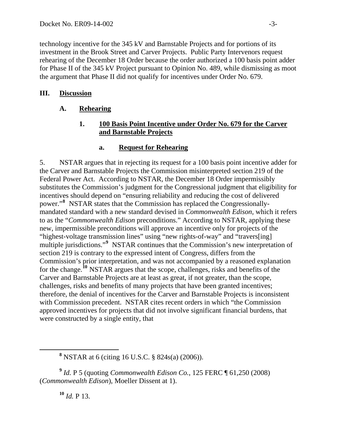technology incentive for the 345 kV and Barnstable Projects and for portions of its investment in the Brook Street and Carver Projects. Public Party Intervenors request rehearing of the December 18 Order because the order authorized a 100 basis point adder for Phase II of the 345 kV Project pursuant to Opinion No. 489, while dismissing as moot the argument that Phase II did not qualify for incentives under Order No. 679.

# **III. Discussion**

## **A. Rehearing**

### **1. 100 Basis Point Incentive under Order No. 679 for the Carver and Barnstable Projects**

### **a. Request for Rehearing**

5. NSTAR argues that in rejecting its request for a 100 basis point incentive adder for the Carver and Barnstable Projects the Commission misinterpreted section 219 of the Federal Power Act. According to NSTAR, the December 18 Order impermissibly substitutes the Commission's judgment for the Congressional judgment that eligibility for incentives should depend on "ensuring reliability and reducing the cost of delivered power."**[8](#page-2-0)** NSTAR states that the Commission has replaced the Congressionallymandated standard with a new standard devised in *Commonwealth Edison*, which it refers to as the "*Commonwealth Edison* preconditions." According to NSTAR, applying the se new, impermissible preconditions will approve an incentive only for projects of the "highest-voltage transmission lines" using "new rights-of-way" and "travers[ing] multiple jurisdictions."<sup>[9](#page-2-1)</sup> NSTAR continues that the Commission's new interpretation of Commission's prior interpretation, and was not accompanied by a reasoned explanation were constructed by a single entity, that section 219 is contrary to the expressed intent of Congress, differs from the for the change.**[10](#page-2-2)** NSTAR argues that the scope, challenges, risks and benefits of the Carver and Barnstable Projects are at least as great, if not greater, than the scope, challenges, risks and benefits of many projects that have been granted incentives; therefore, the denial of incentives for the Carver and Barnstable Projects is inconsistent with Commission precedent. NSTAR cites recent orders in which "the Commission approved incentives for projects that did not involve significant financial burdens, that

**8** NSTAR at 6 (citing 16 U.S.C. § 824s(a) (2006)).

<span id="page-2-2"></span><span id="page-2-1"></span>**<sup>9</sup>** *Id.* P 5 (quoting *Commonwealth Edison Co.*, 125 FERC ¶ 61,250 (2008) (*Commonwealth Edison*), Moeller Dissent at 1).

**<sup>10</sup>** *Id.* P 13.

<span id="page-2-0"></span> $\overline{a}$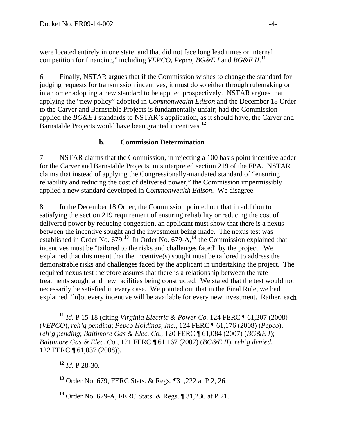were located entirely in one state, and that did not face long lead times or internal competition for financing," including *VEPCO, Pepco, BG&E I* and *BG&E II*.<sup>11</sup>

judging requests for transmission incentives, it must do so either through rulemaking or applying the "new policy" adopted in *Commonwealth Edison* and the December 18 Order applied the *BG&E I* standards to NSTAR's application, as it should have, the Carver and Barnstable Projects would have been granted incentives.<sup>12</sup> 6. Finally, NSTAR argues that if the Commission wishes to change the standard for in an order adopting a new standard to be applied prospectively. NSTAR argues that to the Carver and Barnstable Projects is fundamentally unfair; had the Commission

## **b. Commission Determination**

7. NSTAR claims that the Commission, in rejecting a 100 basis point incentive adder for the Carver and Barnstable Projects, misinterpreted section 219 of the FPA. NSTAR reliability and reducing the cost of delivered power," the Commission impermissibly applied a new standard developed in *Commonwealth Edison.* We disagree. claims that instead of applying the Congressionally-mandated standard of "ensuring

delivered power by reducing congestion, an applicant must show that there is a nexus established in Order No.  $679.13$  $679.13$  In Order No.  $679-A$ ,  $^{14}$  $^{14}$  $^{14}$  the Commission explained that treatments sought and new facilities being constructed. We stated that the test would not explained "[n]ot every incentive will be available for every new investment. Rather, each 8. In the December 18 Order, the Commission pointed out that in addition to satisfying the section 219 requirement of ensuring reliability or reducing the cost of between the incentive sought and the investment being made. The nexus test was incentives must be "tailored to the risks and challenges faced" by the project. We explained that this meant that the incentive(s) sought must be tailored to address the demonstrable risks and challenges faced by the applicant in undertaking the project. The required nexus test therefore assures that there is a relationship between the rate necessarily be satisfied in every case. We pointed out that in the Final Rule, we had

**<sup>12</sup>** *Id.* P 28-30.

 $\overline{a}$ 

<span id="page-3-0"></span>**<sup>13</sup>** Order No. 679, FERC Stats. & Regs. ¶31,222 at P 2, 26.

**<sup>11</sup>** *Id.* P 15-18 (citing *Virginia Electric & Power Co.* 124 FERC ¶ 61,207 (2008) (*VEPCO*), *reh'g pending*; *Pepco Holdings, Inc.*, 124 FERC ¶ 61,176 (2008) (*Pepco*), *reh'g pending*; *Baltimore Gas & Elec. Co.*, 120 FERC ¶ 61,084 (2007) (*BG&E I*); *Baltimore Gas & Elec. Co.*, 121 FERC ¶ 61,167 (2007) (*BG&E II*), *reh'g denied,*  122 FERC ¶ 61,037 (2008)).

<span id="page-3-1"></span>**<sup>14</sup>** Order No. 679-A, FERC Stats. & Regs. ¶ 31,236 at P 21.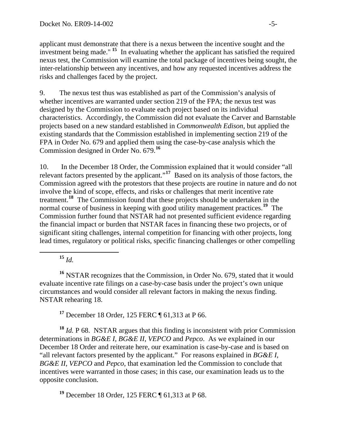applicant must demonstrate that there is a nexus between the incentive sought and the investment being made." **<sup>15</sup>** In evaluating whether the applicant has satisfied the required nexus test, the Commission will examine the total package of incentives being sought, the inter-relationship between any incentives, and how any requested incentives address the risks and challenges faced by the project.

whether incentives are warranted under section 219 of the FPA; the nexus test was characteristics. Accordingly, the Commission did not evaluate the Carver and Barnstable existing standards that the Commission established in implementing section 219 of the FPA in Order No. 679 and applied them using the case-by-case analysis which the Commission designed in Order No. 679.<sup>16</sup> 9. The nexus test thus was established as part of the Commission's analysis of designed by the Commission to evaluate each project based on its individual projects based on a new standard established in *Commonwealth Edison*, but applied the

Commission agreed with the protestors that these projects are routine in nature and do not lead times, regulatory or political risks, specific financing challenges or other compelling 10. In the December 18 Order, the Commission explained that it would consider "all relevant factors presented by the applicant."**[17](#page-4-0)** Based on its analysis of those factors, the involve the kind of scope, effects, and risks or challenges that merit incentive rate treatment.**[18](#page-4-1)** The Commission found that these projects should be undertaken in the normal course of business in keeping with good utility management practices.<sup>[19](#page-4-2)</sup> The Commission further found that NSTAR had not presented sufficient evidence regarding the financial impact or burden that NSTAR faces in financing these two projects, or of significant siting challenges, internal competition for financing with other projects, long

 $15$  *Id.* 

 $\overline{a}$ 

**<sup>16</sup>** NSTAR recognizes that the Commission, in Order No. 679, stated that it would evaluate incentive rate filings on a case-by-case basis under the project's own unique circumstances and would consider all relevant factors in making the nexus finding. NSTAR rehearing 18.

**<sup>17</sup>** December 18 Order, 125 FERC ¶ 61,313 at P 66.

<span id="page-4-1"></span><span id="page-4-0"></span>**<sup>18</sup>** *Id.* P 68. NSTAR argues that this finding is inconsistent with prior Commission determinations in *BG&E I*, *BG&E II*, *VEPCO* and *Pepco*. As we explained in our December 18 Order and reiterate here, our examination is case-by-case and is based on "all relevant factors presented by the applicant." For reasons explained in *BG&E I*, *BG&E II*, *VEPCO* and *Pepco*, that examination led the Commission to conclude that incentives were warranted in those cases; in this case, our examination leads us to the opposite conclusion.

<span id="page-4-2"></span>**<sup>19</sup>** December 18 Order, 125 FERC ¶ 61,313 at P 68.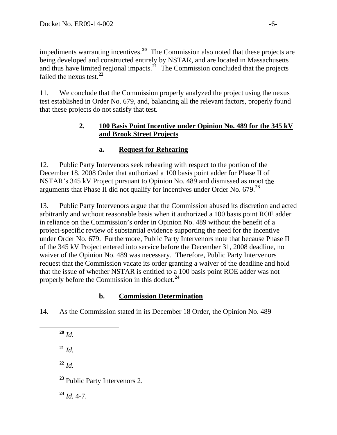impediments warranting incentives.**[20](#page-5-0)** The Commission also noted that these projects ar e being developed and constructed entirely by NSTAR, and are located in Massachusetts and thus have limited regional impacts.<sup> $21$ </sup> The Commission concluded that the projects failed the nexus test.**<sup>22</sup>**

test established in Order No. 679, and, balancing all the relevant factors, properly found that these projects do not satisfy that test. 11. We conclude that the Commission properly analyzed the project using the nexus

### 2. **100 Basis Point Incentive under Opinion No. 489 for the 345 kV and Brook Street Projects**

# **a. Request for Rehearing**

NSTAR's 345 kV Project pursuant to Opinion No. 489 and dismissed as moot the arguments that Phase II did not qualify for incentives under Order No. 679.<sup>23</sup> 12. Public Party Intervenors seek rehearing with respect to the portion of the December 18, 2008 Order that authorized a 100 basis point adder for Phase II of

arbitrarily and without reasonable basis when it authorized a 100 basis point ROE adder under Order No. 679. Furthermore, Public Party Intervenors note that because Phase II of the 345 kV Project entered into service before the December 31, 2008 deadline, no request that the Commission vacate its order granting a waiver of the deadline and hold that the issue of whether NSTAR is entitled to a 100 basis point ROE adder was not properly before the Commission in this docket.<sup>24</sup> 13. Public Party Intervenors argue that the Commission abused its discretion and acted in reliance on the Commission's order in Opinion No. 489 without the benefit of a project-specific review of substantial evidence supporting the need for the incentive waiver of the Opinion No. 489 was necessary. Therefore, Public Party Intervenors

# **b. Commission Determination**

14. As the Commission stated in its December 18 Order, the Opinion No. 489

 $20$  *Id.* **<sup>21</sup>** *Id.*

<span id="page-5-0"></span> $\overline{a}$ 

 $^{22}$  *Id.* 

**<sup>23</sup>** Public Party Intervenors 2.

**<sup>24</sup>** *Id.* 4-7.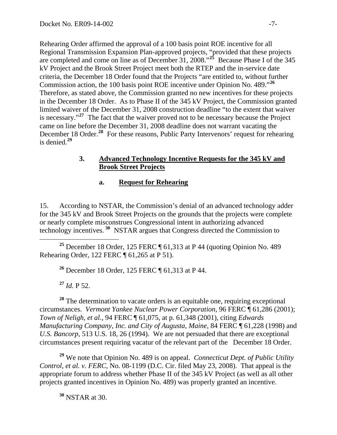Rehearing Order affirmed the approval of a 100 basis point ROE incentive for all Regional Transmission Expansion Plan-approved projects, "provided that these projects are completed and come on line as of December 31, 2008."**<sup>25</sup>** Because Phase I of the 345 kV Project and the Brook Street Project meet both the RTEP and the in-service date criteria, the December 18 Order found that the Projects "are entitled to, without furth er Commission action, the 100 basis point ROE incentive under Opinion No. 489." **26** is necessary."<sup>27</sup> The fact that the waiver proved not to be necessary because the Project December 18 Order.<sup>28</sup> For these reasons, Public Party Intervenors' request for rehearing is denied.<sup>29</sup> Therefore, as stated above, the Commission granted no new incentives for these projects in the December 18 Order. As to Phase II of the 345 kV Project, the Commission granted limited waiver of the December 31, 2008 construction deadline "to the extent that waiver came on line before the December 31, 2008 deadline does not warrant vacating the

### **3. Advanced Technology Incentive Requests for the 345 kV and Brook Street Projects**

### **a. Request for Rehearing**

for the 345 kV and Brook Street Projects on the grounds that the projects were complete technology incentives.<sup>30</sup> NSTAR argues that Congress directed the Commission to 15. According to NSTAR, the Commission's denial of an advanced technology adder or nearly complete misconstrues Congressional intent in authorizing advanced

 $\overline{a}$ **<sup>25</sup>** December 18 Order, 125 FERC ¶ 61,313 at P 44 (quoting Opinion No. 489 Rehearing Order, 122 FERC ¶ 61,265 at P 51).

**<sup>26</sup>** December 18 Order, 125 FERC ¶ 61,313 at P 44.

 $^{27}$  *Id.* P 52.

<sup>28</sup> The determination to vacate orders is an equitable one, requiring exceptional circumstances. *Vermont Yankee Nuclear Power Corporation*, 96 FERC ¶ 61,286 (2001); *Town of Neligh, et al.*, 94 FERC ¶ 61,075, at p. 61,348 (2001), citing *Edwards Manufacturing Company, Inc. and City of Augusta, Maine*, 84 FERC ¶ 61,228 (1998) and *U.S. Bancorp*, 513 U.S. 18, 26 (1994). We are not persuaded that there are exceptional circumstances present requiring vacatur of the relevant part of the December 18 Order.

**<sup>29</sup>** We note that Opinion No. 489 is on appeal. *Connecticut Dept. of Public Utility Control, et al. v. FERC*, No. 08-1199 (D.C. Cir. filed May 23, 2008). That appeal is the appropriate forum to address whether Phase II of the 345 kV Project (as well as all other projects granted incentives in Opinion No. 489) was properly granted an incentive.

**<sup>30</sup>** NSTAR at 30.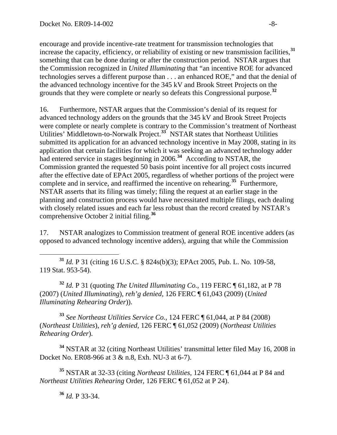encourage and provide incentive-rate treatment for transmission technologies that increase the capacity, efficiency, or reliability of existing or new transmission facilities,**<sup>31</sup>** something that can be done during or after the construction period. NSTAR argues that the Commission recognized in *United Illuminating* that "an incentive ROE for advanced technologies serves a different purpose than . . . an enhanced ROE," and that the denial of the advanced technology incentive for the 345 kV and Brook Street Projects on the grounds that they were complete or nearly so defeats this Congressional purpose.**<sup>32</sup>**

16. Furthermore, NSTAR argues that the Commission's denial of its request for advanced technology adders on the grounds that the 345 kV and Brook Street Projects were complete or nearly complete is contrary to the Commission's treatment of Northeast Utilities' Middletown-to-Norwalk Project.**[33](#page-7-0)** NSTAR states that Northeast Utilities submitted its application for an advanced technology incentive in May 2008, stating in its application that certain facilities for which it was seeking an advanced technology adder had entered service in stages beginning in 2006.<sup>[34](#page-7-1)</sup> According to NSTAR, the Commission granted the requested 50 basis point incentive for all project costs incurred after the effective date of EPAct 2005, regardless of whether portions of the project were complete and in service, and reaffirmed the incentive on rehearing.**[35](#page-7-2)** Furthermore, NSTAR asserts that its filing was timely; filing the request at an earlier stage in the planning and construction process would have necessitated multiple filings, each dealing with closely related issues and each far less robust than the record created by NSTAR's comprehensive October 2 initial filing.**[36](#page-7-3)**

17. NSTAR analogizes to Commission treatment of general ROE incentive adders (as opposed to advanced technology incentive adders), arguing that while the Commission

 **<sup>31</sup>** *Id.* P 31 (citing 16 U.S.C. § 824s(b)(3); EPAct 2005, Pub. L. No. 109-58, 119 Stat. 953-54).

**<sup>32</sup>** *Id.* P 31 (quoting *The United Illuminating Co.*, 119 FERC ¶ 61,182, at P 78 (2007) (*United Illuminating*), *reh'g denied*, 126 FERC ¶ 61,043 (2009) (*United Illuminating Rehearing Order*)).

<span id="page-7-0"></span>**<sup>33</sup>** *See Northeast Utilities Service Co.*, 124 FERC ¶ 61,044, at P 84 (2008) (*Northeast Utilities*), *reh'g denied*, 126 FERC ¶ 61,052 (2009) (*Northeast Utilities Rehearing Order*).

<span id="page-7-1"></span>**<sup>34</sup>** NSTAR at 32 (citing Northeast Utilities' transmittal letter filed May 16, 2008 in Docket No. ER08-966 at 3 & n.8, Exh. NU-3 at 6-7).

<span id="page-7-3"></span><span id="page-7-2"></span>**<sup>35</sup>** NSTAR at 32-33 (citing *Northeast Utilities*, 124 FERC ¶ 61,044 at P 84 and *Northeast Utilities Rehearing* Order, 126 FERC ¶ 61,052 at P 24).

**<sup>36</sup>** *Id.* P 33-34.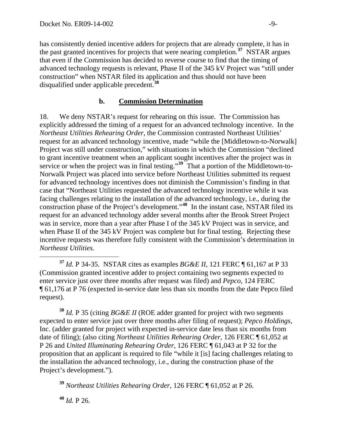has consistently denied incentive adders for projects that are already complete, it has in the past granted incentives for projects that were nearing completion.**<sup>37</sup>** NSTAR argues that even if the Commission has decided to reverse course to find that the timing of advanced technology requests is relevant, Phase II of the 345 kV Project was "still under construction" when NSTAR filed its application and thus should not have been disqualified under applicable precedent.**<sup>38</sup>**

### **b. Commission Determination**

18. We deny NSTAR's request for rehearing on this issue. The Commission has explicitly addressed the timing of a request for an advanced technology incentive. In the *Northeast Utilities Rehearing Order*, the Commission contrasted Northeast Utilities' request for an advanced technology incentive, made "while the [Middletown-to-Norwalk] Project was still under construction," with situations in which the Commission "declined to grant incentive treatment when an applicant sought incentives after the project was in service or when the project was in final testing."<sup>[39](#page-8-0)</sup> That a portion of the Middletown-to-Norwalk Project was placed into service before Northeast Utilities submitted its request for advanced technology incentives does not diminish the Commission's finding in that case that "Northeast Utilities requested the advanced technology incentive while it was facing challenges relating to the installation of the advanced technology, i.e., during the construction phase of the Project's development."**[40](#page-8-1)** In the instant case, NSTAR filed its request for an advanced technology adder several months after the Brook Street Project was in service, more than a year after Phase I of the 345 kV Project was in service, and when Phase II of the 345 kV Project was complete but for final testing. Rejecting these incentive requests was therefore fully consistent with the Commission's determination in *Northeast Utilities.*

**<sup>38</sup>** *Id.* P 35 (citing *BG&E II* (ROE adder granted for project with two segments expected to enter service just over three months after filing of request); *Pepco Holdings,*  Inc. (adder granted for project with expected in-service date less than six months from date of filing); (also citing *Northeast Utilities Rehearing Order*, 126 FERC ¶ 61,052 at P 26 and *United Illuminating Rehearing Order*, 126 FERC ¶ 61,043 at P 32 for the proposition that an applicant is required to file "while it [is] facing challenges relating to the installation the advanced technology, i.e., during the construction phase of the Project's development.").

<span id="page-8-0"></span>**<sup>39</sup>** *Northeast Utilities Rehearing Order*, 126 FERC ¶ 61,052 at P 26.

<span id="page-8-1"></span>**<sup>40</sup>** *Id.* P 26.

**<sup>37</sup>** *Id.* P 34-35. NSTAR cites as examples *BG&E II*, 121 FERC ¶ 61,167 at P 33 (Commission granted incentive adder to project containing two segments expected to enter service just over three months after request was filed) and *Pepco*, 124 FERC ¶ 61,176 at P 76 (expected in-service date less than six months from the date Pepco filed request).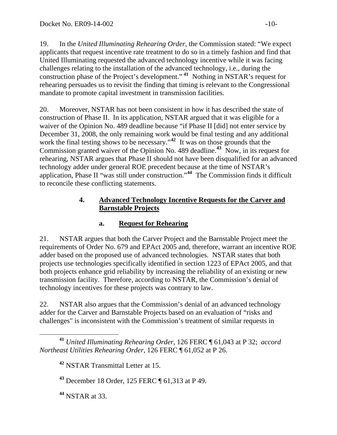19. In the *United Illuminating Rehearing Order*, the Commission stated: "We expect applicants that request incentive rate treatment to do so in a timely fashion and find that United Illuminating requested the advanced technology incentive while it was facing challenges relating to the installation of the advanced technology, i.e., during the construction phase of the Project's development." **[41](#page-9-0)** Nothing in NSTAR's request for rehearing persuades us to revisit the finding that timing is relevant to the Congressional mandate to promote capital investment in transmission facilities.

20. Moreover, NSTAR has not been consistent in how it has described the state of construction of Phase II. In its application, NSTAR argued that it was eligible for a waiver of the Opinion No. 489 deadline because "if Phase II [did] not enter service by December 31, 2008, the only remaining work would be final testing and any additional work the final testing shows to be necessary."<sup>[42](#page-9-1)</sup> It was on those grounds that the Commission granted waiver of the Opinion No. 489 deadline.<sup>[43](#page-9-2)</sup> Now, in its request for rehearing, NSTAR argues that Phase II should not have been disqualified for an advanced technology adder under general ROE precedent because at the time of NSTAR's application, Phase II "was still under construction."**[44](#page-9-3)** The Commission finds it difficult to reconcile these conflicting statements.

# **4. Advanced Technology Incentive Requests for the Carver and Barnstable Projects**

# **a. Request for Rehearing**

21. NSTAR argues that both the Carver Project and the Barnstable Project meet the requirements of Order No. 679 and EPAct 2005 and, therefore, warrant an incentive ROE adder based on the proposed use of advanced technologies. NSTAR states that both projects use technologies specifically identified in section 1223 of EPAct 2005, and that both projects enhance grid reliability by increasing the reliability of an existing or new transmission facility. Therefore, according to NSTAR, the Commission's denial of technology incentives for these projects was contrary to law.

22. NSTAR also argues that the Commission's denial of an advanced technology adder for the Carver and Barnstable Projects based on an evaluation of "risks and challenges" is inconsistent with the Commission's treatment of similar requests in

**<sup>42</sup>** NSTAR Transmittal Letter at 15.

**<sup>43</sup>** December 18 Order, 125 FERC ¶ 61,313 at P 49.

<span id="page-9-3"></span>**<sup>44</sup>** NSTAR at 33.

<span id="page-9-2"></span><span id="page-9-1"></span><span id="page-9-0"></span>**<sup>41</sup>** *United Illuminating Rehearing Order*, 126 FERC ¶ 61,043 at P 32; *accord Northeast Utilities Rehearing Order,* 126 FERC ¶ 61,052 at P 26.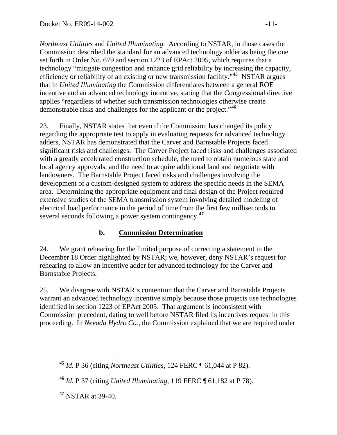*Northeast Utilities* and *United Illuminating.* According to NSTAR, in those cases the Commission described the standard for an advanced technology adder as being the one set forth in Order No. 679 and section 1223 of EPAct 2005, which requires that a technology "mitigate congestion and enhance grid reliability by increasing the capacity, efficiency or reliability of an existing or new transmission facility."**<sup>45</sup>** NSTAR argues that in *United Illuminating* the Commission differentiates between a general ROE incentive and an advanced technology incentive, stating that the Congressional directive applies "regardless of whether such transmission technologies otherwise create demonstrable risks and challenges for the applicant or the project."**<sup>46</sup>**

23. Finally, NSTAR states that even if the Commission has changed its policy regarding the appropriate test to apply in evaluating requests for advanced technology adders, NSTAR has demonstrated that the Carver and Barnstable Projects faced significant risks and challenges. The Carver Project faced risks and challenges associated with a greatly accelerated construction schedule, the need to obtain numerous state and local agency approvals, and the need to acquire additional land and negotiate with landowners. The Barnstable Project faced risks and challenges involving the development of a custom-designed system to address the specific needs in the SEMA area. Determining the appropriate equipment and final design of the Project required extensive studies of the SEMA transmission system involving detailed modeling of electrical load performance in the period of time from the first few milliseconds to several seconds following a power system contingency.**[47](#page-10-0)**

# **b. Commission Determination**

24. We grant rehearing for the limited purpose of correcting a statement in the December 18 Order highlighted by NSTAR; we, however, deny NSTAR's request for rehearing to allow an incentive adder for advanced technology for the Carver and Barnstable Projects.

25. We disagree with NSTAR's contention that the Carver and Barnstable Projects warrant an advanced technology incentive simply because those projects use technologies identified in section 1223 of EPAct 2005. That argument is inconsistent with Commission precedent, dating to well before NSTAR filed its incentives request in this proceeding. In *Nevada Hydro Co.,* the Commission explained that we are required under

<span id="page-10-0"></span>**<sup>47</sup>** NSTAR at 39-40.

**<sup>45</sup>** *Id.* P 36 (citing *Northeast Utilities*, 124 FERC ¶ 61,044 at P 82).

**<sup>46</sup>** *Id.* P 37 (citing *United Illuminating*, 119 FERC ¶ 61,182 at P 78).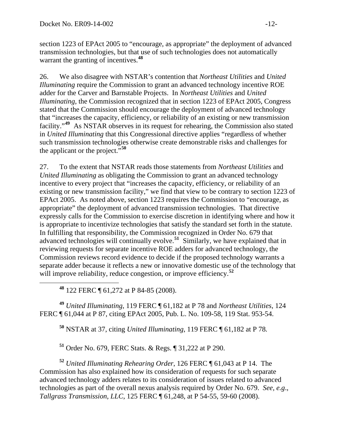section 1223 of EPAct 2005 to "encourage, as appropriate" the deployment of advanced transmission technologies, but that use of such technologies does not automatically warrant the granting of incentives.**[48](#page-11-0)**

26. We also disagree with NSTAR's contention that *Northeast Utilities* and *United Illuminating* require the Commission to grant an advanced technology incentive ROE adder for the Carver and Barnstable Projects. In *Northeast Utilities* and *United Illuminating*, the Commission recognized that in section 1223 of EPAct 2005, Congress stated that the Commission should encourage the deployment of advanced technology that "increases the capacity, efficiency, or reliability of an existing or new transmission facility."**[49](#page-11-1)** As NSTAR observes in its request for rehearing, the Commission also stated in *United Illuminating* that this Congressional directive applies "regardless of whether such transmission technologies otherwise create demonstrable risks and challenges for the applicant or the project."**[50](#page-11-2)**

27. To the extent that NSTAR reads those statements from *Northeast Utilities* and *United Illuminating* as obligating the Commission to grant an advanced technology incentive to every project that "increases the capacity, efficiency, or reliability of an existing or new transmission facility," we find that view to be contrary to section 1223 of EPAct 2005. As noted above, section 1223 requires the Commission to "encourage, as appropriate" the deployment of advanced transmission technologies. That directive expressly calls for the Commission to exercise discretion in identifying where and how it is appropriate to incentivize technologies that satisfy the standard set forth in the statute. In fulfilling that responsibility, the Commission recognized in Order No. 679 that advanced technologies will continually evolve.**[51](#page-11-3)** Similarly, we have explained that in reviewing requests for separate incentive ROE adders for advanced technology, the Commission reviews record evidence to decide if the proposed technology warrants a separate adder because it reflects a new or innovative domestic use of the technology that will improve reliability, reduce congestion, or improve efficiency.<sup>[52](#page-11-4)</sup>

**<sup>48</sup>** 122 FERC ¶ 61,272 at P 84-85 (2008).

<span id="page-11-2"></span><span id="page-11-1"></span><span id="page-11-0"></span>**<sup>49</sup>** *United Illuminating*, 119 FERC ¶ 61,182 at P 78 and *Northeast Utilities*, 124 FERC ¶ 61,044 at P 87, citing EPAct 2005, Pub. L. No. 109-58, 119 Stat. 953-54.

**<sup>50</sup>** NSTAR at 37, citing *United Illuminating*, 119 FERC ¶ 61,182 at P 78*.* 

**<sup>51</sup>** Order No. 679, FERC Stats. & Regs. ¶ 31,222 at P 290.

<span id="page-11-4"></span><span id="page-11-3"></span>**<sup>52</sup>** *United Illuminating Rehearing Order*, 126 FERC ¶ 61,043 at P 14. The Commission has also explained how its consideration of requests for such separate advanced technology adders relates to its consideration of issues related to advanced technologies as part of the overall nexus analysis required by Order No. 679. *See, e.g*., *Tallgrass Transmission, LLC*, 125 FERC ¶ 61,248, at P 54-55, 59-60 (2008).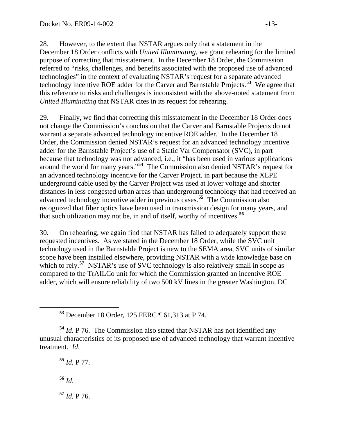28. However, to the extent that NSTAR argues only that a statement in the December 18 Order conflicts with *United Illuminating*, we grant rehearing for the limited purpose of correcting that misstatement. In the December 18 Order, the Commission referred to "risks, challenges, and benefits associated with the proposed use of advanced technologies" in the context of evaluating NSTAR's request for a separate advanced technology incentive ROE adder for the Carver and Barnstable Projects.**[53](#page-12-0)** We agree that this reference to risks and challenges is inconsistent with the above-noted statement from *United Illuminating* that NSTAR cites in its request for rehearing.

29. Finally, we find that correcting this misstatement in the December 18 Order does not change the Commission's conclusion that the Carver and Barnstable Projects do not warrant a separate advanced technology incentive ROE adder. In the December 18 Order, the Commission denied NSTAR's request for an advanced technology incentive adder for the Barnstable Project's use of a Static Var Compensator (SVC), in part because that technology was not advanced, i.e., it "has been used in various applications around the world for many years."**[54](#page-12-1)** The Commission also denied NSTAR's request for an advanced technology incentive for the Carver Project, in part because the XLPE underground cable used by the Carver Project was used at lower voltage and shorter distances in less congested urban areas than underground technology that had received an advanced technology incentive adder in previous cases.**[55](#page-12-2)** The Commission also recognized that fiber optics have been used in transmission design for many years, and that such utilization may not be, in and of itself, worthy of incentives.**[56](#page-12-3)**

30. On rehearing, we again find that NSTAR has failed to adequately support these requested incentives. As we stated in the December 18 Order, while the SVC unit technology used in the Barnstable Project is new to the SEMA area, SVC units of similar scope have been installed elsewhere, providing NSTAR with a wide knowledge base on which to rely.<sup>[57](#page-12-4)</sup> NSTAR's use of SVC technology is also relatively small in scope as compared to the TrAILCo unit for which the Commission granted an incentive ROE adder, which will ensure reliability of two 500 kV lines in the greater Washington, DC

<span id="page-12-4"></span><span id="page-12-3"></span>**<sup>55</sup>** *Id.* P 77. **<sup>56</sup>** *Id*. **<sup>57</sup>** *Id.* P 76.

**<sup>53</sup>** December 18 Order, 125 FERC ¶ 61,313 at P 74.

<span id="page-12-2"></span><span id="page-12-1"></span><span id="page-12-0"></span>**<sup>54</sup>** *Id.* P 76. The Commission also stated that NSTAR has not identified any unusual characteristics of its proposed use of advanced technology that warrant incentive treatment. *Id*.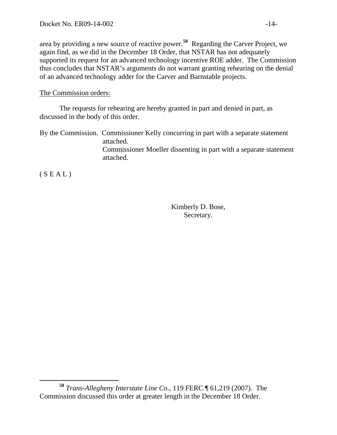area by providing a new source of reactive power.**[58](#page-13-0)** Regarding the Carver Project, we again find, as we did in the December 18 Order, that NSTAR has not adequately supported its request for an advanced technology incentive ROE adder. The Commission thus concludes that NSTAR's arguments do not warrant granting rehearing on the denial of an advanced technology adder for the Carver and Barnstable projects.

#### The Commission orders:

 The requests for rehearing are hereby granted in part and denied in part, as discussed in the body of this order.

By the Commission. Commissioner Kelly concurring in part with a separate statement attached. Commissioner Moeller dissenting in part with a separate statement attached.

 $(S E A L)$ 

Kimberly D. Bose, Secretary.

<span id="page-13-0"></span>**<sup>58</sup>** *Trans-Allegheny Interstate Line Co*., 119 FERC ¶ 61,219 (2007). The Commission discussed this order at greater length in the December 18 Order.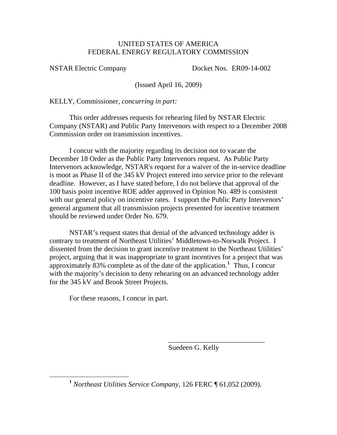#### UNITED STATES OF AMERICA FEDERAL ENERGY REGULATORY COMMISSION

NSTAR Electric Company Docket Nos. ER09-14-002

(Issued April 16, 2009)

KELLY, Commissioner, *concurring in part:* 

 This order addresses requests for rehearing filed by NSTAR Electric Company (NSTAR) and Public Party Intervenors with respect to a December 2008 Commission order on transmission incentives.

 I concur with the majority regarding its decision not to vacate the December 18 Order as the Public Party Intervenors request. As Public Party Intervenors acknowledge, NSTAR's request for a waiver of the in-service deadline is moot as Phase II of the 345 kV Project entered into service prior to the relevant deadline. However, as I have stated before, I do not believe that approval of the 100 basis point incentive ROE adder approved in Opinion No. 489 is consistent with our general policy on incentive rates. I support the Public Party Intervenors' general argument that all transmission projects presented for incentive treatment should be reviewed under Order No. 679.

NSTAR's request states that denial of the advanced technology adder is contrary to treatment of Northeast Utilities' Middletown-to-Norwalk Project. I dissented from the decision to grant incentive treatment to the Northeast Utilities' project, arguing that it was inappropriate to grant incentives for a project that was approximately 83% complete as of the date of the application.**[1](#page-14-0)** Thus, I concur with the majority's decision to deny rehearing on an advanced technology adder for the 345 kV and Brook Street Projects.

For these reasons, I concur in part.

Suedeen G. Kelly

\_\_\_\_\_\_\_\_\_\_\_\_\_\_\_\_\_\_\_\_\_\_\_\_\_\_\_

<span id="page-14-0"></span>**<sup>1</sup>** *Northeast Utilities Service Company,* 126 FERC ¶ 61,052 (2009).